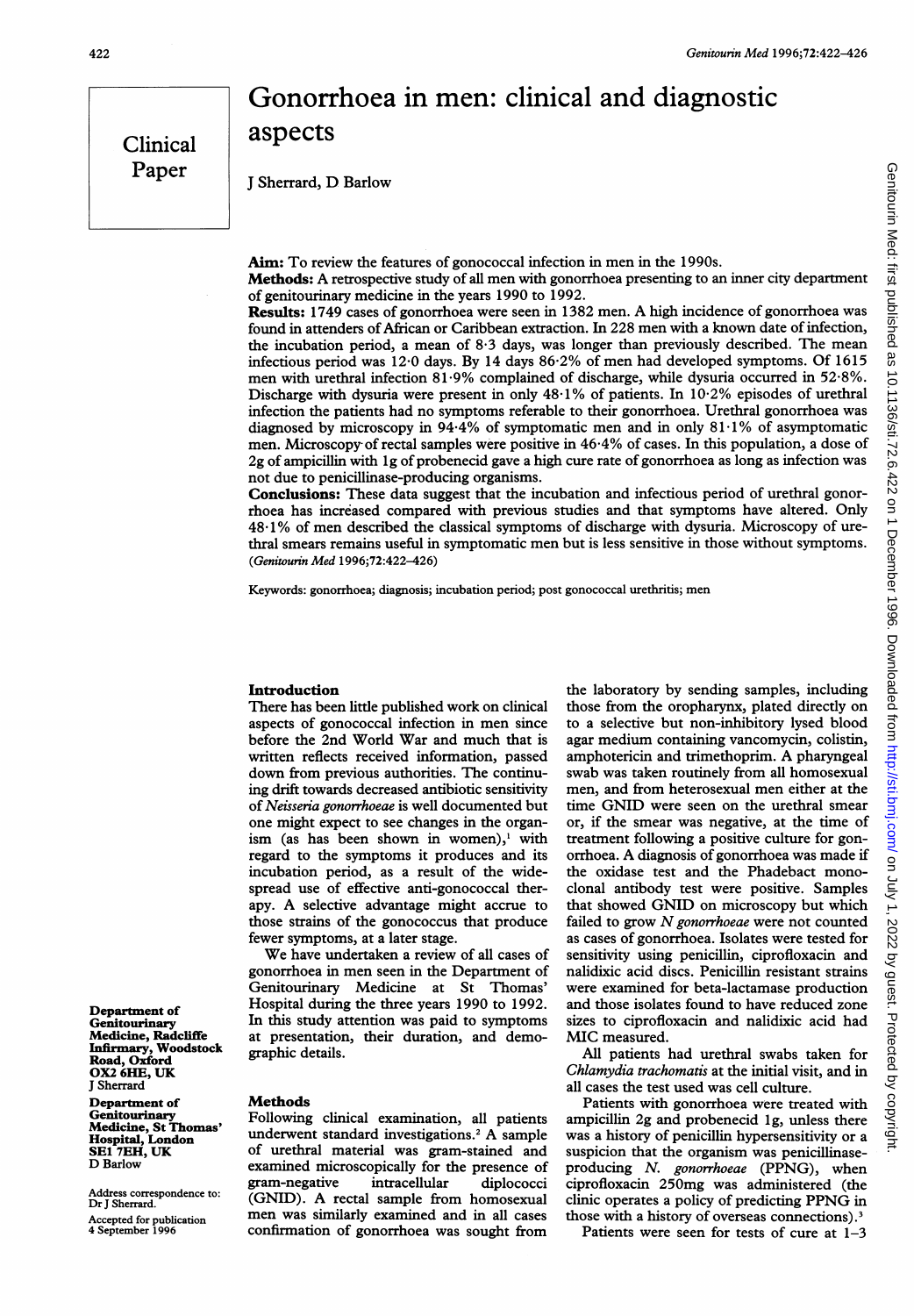# Gonorrhoea in men: clinical and diagnostic aspects

<sup>J</sup> Sherrard, D Barlow

Aim: To review the features of gonococcal infection in men in the 1990s.

Methods: A retrospective study of all men with gonorrhoea presenting to an inner city department of genitourinary medicine in the years 1990 to 1992.

Results: <sup>1749</sup> cases of gonorrhoea were seen in <sup>1382</sup> men. A high incidence of gonorrhoea was found in attenders of African or Caribbean extraction. In 228 men with <sup>a</sup> known date of infection, the incubation period, <sup>a</sup> mean of 8.3 days, was longer than previously described. The mean infectious period was 12-0 days. By 14 days 86.2% of men had developed symptoms. Of 1615 men with urethral infection 81-9% complained of discharge, while dysuria occurred in 52.8%. Discharge with dysuria were present in only 48.1% of patients. In 10.2% episodes of urethral infection the patients had no symptoms referable to their gonorrhoea. Urethral gonorrhoea was diagnosed by microscopy in 94.4% of symptomatic men and in only 81.1% of asymptomatic men. Microscopy of rectal samples were positive in 46.4% of cases. In this population, a dose of 2g of ampicillin with <sup>l</sup> g of probenecid gave a high cure rate of gonorrhoea as long as infection was not due to penicillinase-producing organisms.

Conclusions: These data suggest that the incubation and infectious period of urethral gonorrhoea has increased compared with previous studies and that symptoms have altered. Only 48.1% of men described the classical symptoms of discharge with dysuria. Microscopy of urethral smears remains useful in symptomatic men but is less sensitive in those without symptoms. (Genitourin Med 1996;72:422-426)

Keywords: gonorrhoea; diagnosis; incubation period; post gonococcal urethritis; men

#### Introduction

There has been little published work on clinical aspects of gonococcal infection in men since before the 2nd World War and much that is written reflects received information, passed down from previous authorities. The continuing drift towards decreased antibiotic sensitivity of Neisseria gonorrhoeae is well documented but one might expect to see changes in the organism (as has been shown in women),<sup>1</sup> with regard to the symptoms it produces and its incubation period, as a result of the widespread use of effective anti-gonococcal therapy. A selective advantage might accrue to those strains of the gonococcus that produce fewer symptoms, at a later stage.

We have undertaken <sup>a</sup> review of all cases of gonorrhoea in men seen in the Department of Genitourinary Medicine at St Thomas' Hospital during the three years 1990 to 1992. In this study attention was paid to symptoms at presentation, their duration, and demographic details.

#### Methods

Following clinical examination, all patients underwent standard investigations.2 A sample of urethral material was gram-stained and examined microscopically for the presence of gram-negative intracellular diplococci (GNID). A rectal sample from homosexual men was similarly examined and in all cases confirmation of gonorrhoea was sought from

the laboratory by sending samples, including those from the oropharynx, plated directly on to a selective but non-inhibitory lysed blood agar medium containing vancomycin, colistin, amphotericin and trimethoprim. A pharyngeal swab was taken routinely from all homosexual men, and from heterosexual men either at the time GNID were seen on the urethral smear or, if the smear was negative, at the time of treatment following a positive culture for gonorrhoea. A diagnosis of gonorrhoea was made if the oxidase test and the Phadebact monoclonal antibody test were positive. Samples that showed GNID on microscopy but which failed to grow  $N$  gonorrhoeae were not counted as cases of gonorrhoea. Isolates were tested for sensitivity using penicillin, ciprofloxacin and nalidixic acid discs. Penicillin resistant strains were examined for beta-lactamase production and those isolates found to have reduced zone sizes to ciprofloxacin and nalidixic acid had MIC measured.

All patients had urethral swabs taken for Chlamydia trachomatis at the initial visit, and in all cases the test used was cell culture.

Patients with gonorrhoea were treated with ampicillin 2g and probenecid lg, unless there was a history of penicillin hypersensitivity or a suspicion that the organism was penicillinaseproducing N. gonorrhoeae (PPNG), when ciprofloxacin 250mg was administered (the clinic operates <sup>a</sup> policy of predicting PPNG in those with a history of overseas connections).3

Patients were seen for tests of cure at 1-3

Department of **Genitourinary** Medicine, Radcliffe Infirmary, Woodstock Road, Oxford OX2 6HE, UK J Sherrard

Department of **Genitourinary** Medicine, St Thomas' Hospital, London SE1 7EH, UK D Barlow

Address correspondence to: Dr J Sherrard.

Accepted for publication 4 September 1996

Clinical Paper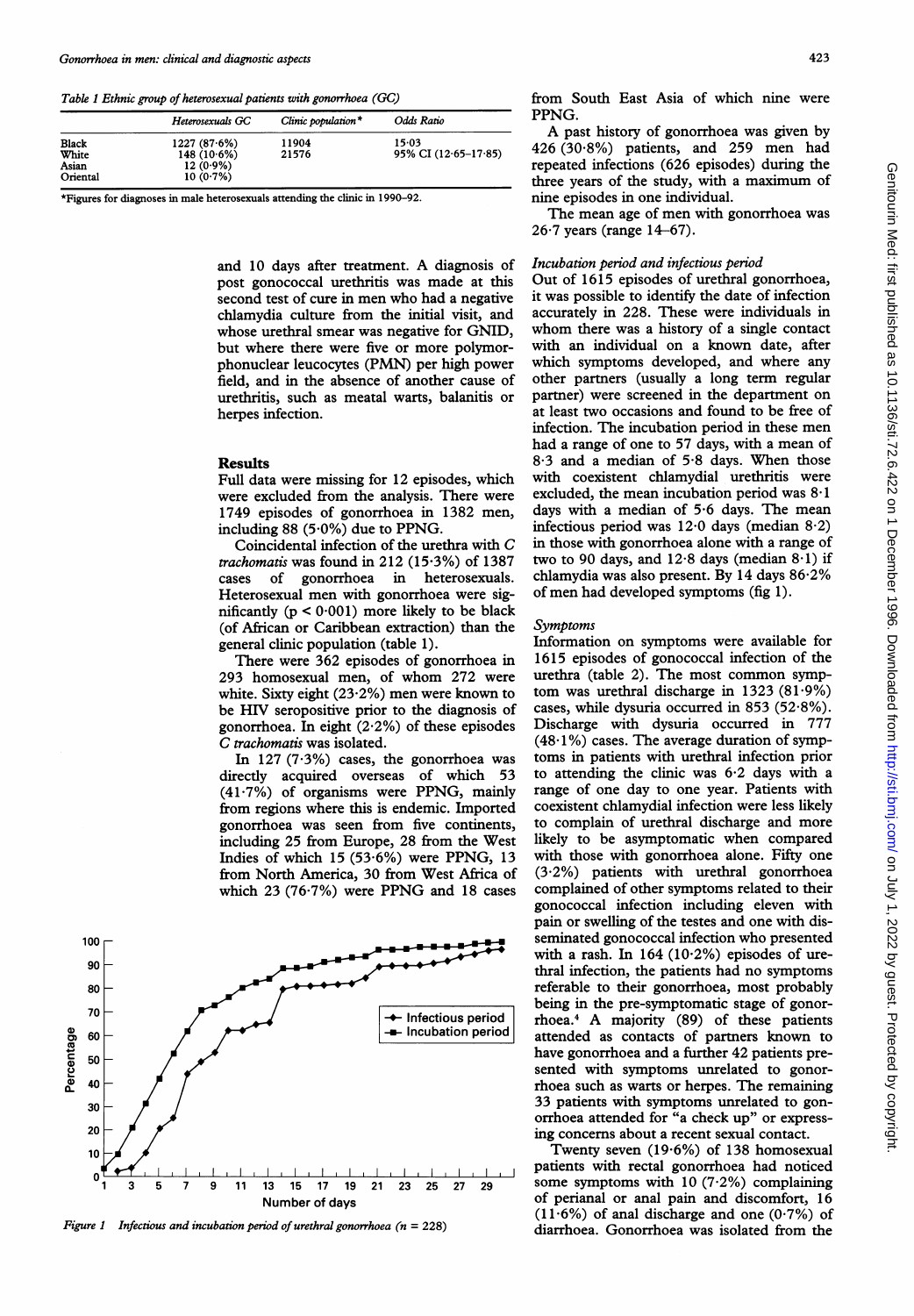Table <sup>1</sup> Ethnic group of heterosexual patients with gonorrhoea (GC)

|                                            | Heterosexuals GC                                           | Clinic population $*$ | Odds Ratio                          |
|--------------------------------------------|------------------------------------------------------------|-----------------------|-------------------------------------|
| <b>Black</b><br>White<br>Asian<br>Oriental | 1227(87.6%)<br>$148(10.6\%)$<br>$12(0.9\%)$<br>$10(0.7\%)$ | 11904<br>21576        | $15-03$<br>95% CI $(12.65 - 17.85)$ |

\*Figures for diagnoses in male heterosexuals attending the clinic in 1990-92.

and <sup>10</sup> days after treatment. A diagnosis of post gonococcal urethritis was made at this second test of cure in men who had <sup>a</sup> negative chlamydia culture from the initial visit, and whose urethral smear was negative for GNID, but where there were five or more polymorphonuclear leucocytes (PMN) per high power field, and in the absence of another cause of urethritis, such as meatal warts, balanitis or herpes infection.

#### Results

Full data were missing for 12 episodes, which were excluded from the analysis. There were 1749 episodes of gonorrhoea in 1382 men, including 88 (5 $\cdot$ 0%) due to PPNG.

Coincidental infection of the urethra with C trachomatis was found in 212 (15.3%) of 1387 cases of gonorrhoea in heterosexuals. Heterosexual men with gonorrhoea were significantly  $(p < 0.001)$  more likely to be black (of African or Caribbean extraction) than the general clinic population (table 1).

There were 362 episodes of gonorrhoea in 293 homosexual men, of whom 272 were white. Sixty eight  $(23.2\%)$  men were known to be HIV seropositive prior to the diagnosis of gonorrhoea. In eight (2.2%) of these episodes C trachomatis was isolated.

In  $127$  (7.3%) cases, the gonorrhoea was directly acquired overseas of which 53 (41 .7%) of organisms were PPNG, mainly from regions where this is endemic. Imported gonorrhoea was seen from five continents, including 25 from Europe, 28 from the West Indies of which 15 (53.6%) were PPNG, 13 from North America, 30 from West Africa of which <sup>23</sup> (76-7%) were PPNG and <sup>18</sup> cases



Figure 1 Infectious and incubation period of urethral gonorrhoea ( $n = 228$ )

from South East Asia of which nine were PPNG.

A past history of gonorrhoea was given by 426 (30-8%) patients, and 259 men had repeated infections (626 episodes) during the three years of the study, with <sup>a</sup> maximum of nine episodes in one individual.

The mean age of men with gonorrhoea was  $26.7$  years (range  $14-67$ ).

# Incubation period and infectious period

Out of 1615 episodes of urethral gonorrhoea, it was possible to identify the date of infection accurately in 228. These were individuals in whom there was <sup>a</sup> history of <sup>a</sup> single contact with an individual on a known date, after which symptoms developed, and where any other partners (usually a long term regular partner) were screened in the department on at least two occasions and found to be free of infection. The incubation period in these men had <sup>a</sup> range of one to 57 days, with a mean of 8.3 and <sup>a</sup> median of 5-8 days. When those with coexistent chlamydial urethritis were excluded, the mean incubation period was  $8.1$ days with a median of 5.6 days. The mean infectious period was  $12.0$  days (median  $8.2$ ) in those with gonorrhoea alone with a range of two to 90 days, and  $12.8$  days (median  $8.1$ ) if chlamydia was also present. By 14 days 86.2% of men had developed symptoms (fig 1).

#### Symptoms

Information on symptoms were available for 1615 episodes of gonococcal infection of the urethra (table 2). The most common symptom was urethral discharge in  $1323 (81.9%)$ cases, while dysuria occurred in 853 (52 $\cdot$ 8%). Discharge with dysuria occurred in 777  $(48.1\%)$  cases. The average duration of symptoms in patients with urethral infection prior to attending the clinic was 6.2 days with a range of one day to one year. Patients with coexistent chlamydial infection were less likely to complain of urethral discharge and more likely to be asymptomatic when compared with those with gonorrhoea alone. Fifty one (3.2%) patients with urethral gonorrhoea complained of other symptoms related to their gonococcal infection including eleven with pain or swelling of the testes and one with disseminated gonococcal infection who presented with a rash. In  $164 (10.2%)$  episodes of urethral infection, the patients had no symptoms referable to their gonorrhoea, most probably being in the pre-symptomatic stage of gonorrhoea.4 A majority (89) of these patients attended as contacts of partners known to have gonorrhoea and a further 42 patients presented with symptoms unrelated to gonorrhoea such as warts or herpes. The remaining 33 patients with symptoms unrelated to gonorrhoea attended for "a check up" or expressing concerns about a recent sexual contact.

Twenty seven (19-6%) of 138 homosexual patients with rectal gonorrhoea had noticed some symptoms with  $10$  (7.2%) complaining of perianal or anal pain and discomfort, 16 (11.6%) of anal discharge and one  $(0.7%)$  of diarrhoea. Gonorrhoea was isolated from the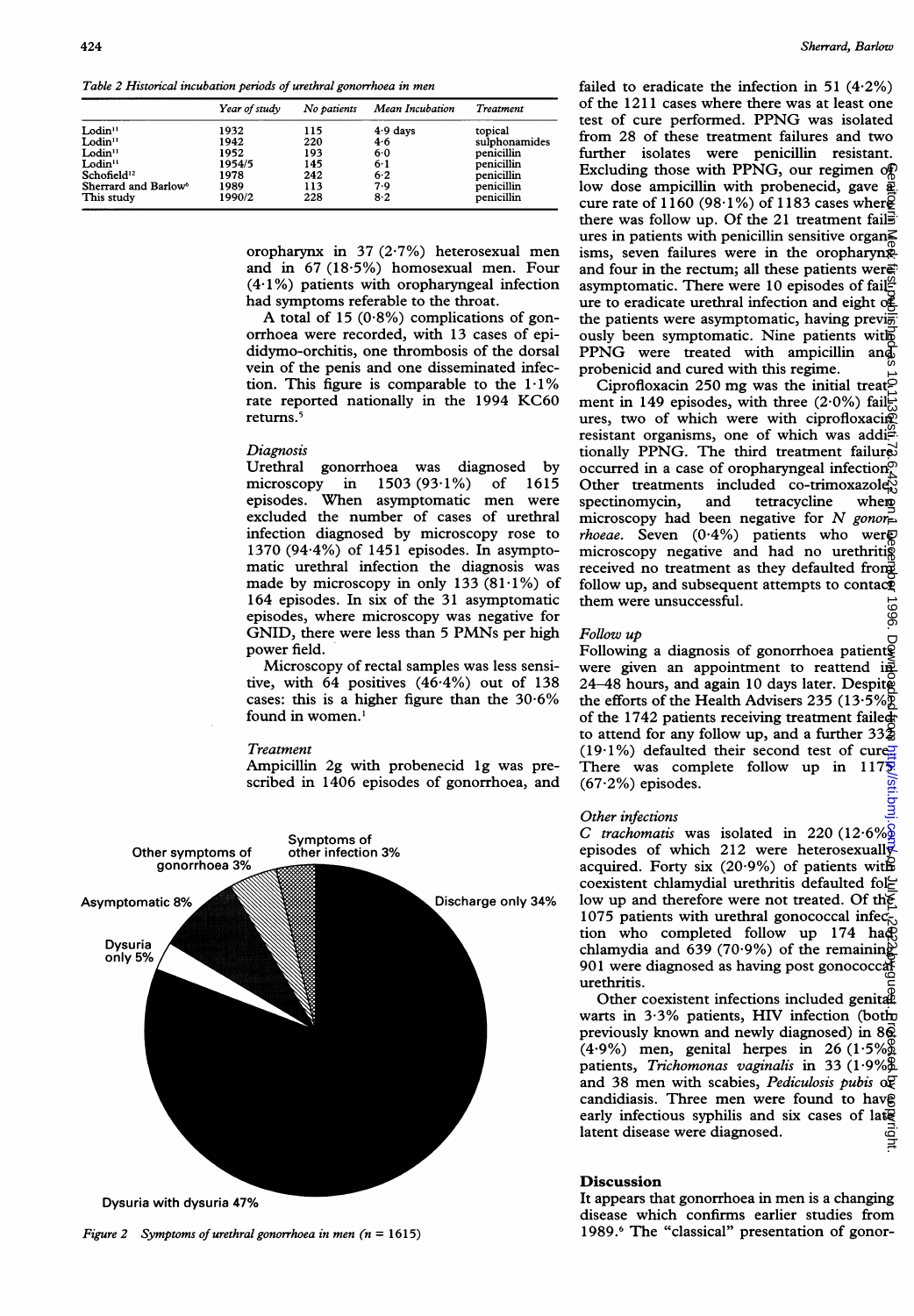Table 2 Historical incubation periods of urethral gonorrhoea in men

|                                  | Year of study | No patients | Mean Incubation | Treatment     |
|----------------------------------|---------------|-------------|-----------------|---------------|
| $L$ odin $11$                    | 1932          | 115         | $4.9$ days      | topical       |
| $L$ odin $11$                    | 1942          | 220         | 4.6             | sulphonamides |
| Lodin <sup>11</sup>              | 1952          | 193         | 6.0             | penicillin    |
| Lodin <sup>11</sup>              | 1954/5        | 145         | 6.1             | penicillin    |
| Schofield <sup>12</sup>          | 1978          | 242         | $6-2$           | penicillin    |
| Sherrard and Barlow <sup>6</sup> | 1989          | 113         | 7.9             | penicillin    |
| This study                       | 1990/2        | 228         | 8.2             | penicillin    |

oropharynx in 37 (2.7%) heterosexual men and in 67 (18-5%) homosexual men. Four (4-1%) patients with oropharyngeal infection had symptoms referable to the throat.

A total of <sup>15</sup> (0.8%) complications of gonorrhoea were recorded, with 13 cases of epididymo-orchitis, one thrombosis of the dorsal vein of the penis and one disseminated infection. This figure is comparable to the  $1.1\%$ rate reported nationally in the 1994 KC60 returns.<sup>5</sup>

#### **Diagnosis**

Urethral gonorrhoea was diagnosed by microscopy in 1503 (93-1%) of 1615 episodes. When asymptomatic men were excluded the number of cases of urethral infection diagnosed by microscopy rose to 1370 (94.4%) of 1451 episodes. In asymptomatic urethral infection the diagnosis was made by microscopy in only 133  $(81.1\%)$  of 164 episodes. In six of the 31 asymptomatic episodes, where microscopy was negative for GNID, there were less than <sup>5</sup> PMNs per high power field.

Microscopy of rectal samples was less sensitive, with 64 positives (46.4%) out of 138 cases: this is a higher figure than the 30.6% found in women.'

#### Treatment

Ampicillin 2g with probenecid lg was prescribed in 1406 episodes of gonorrhoea, and



Figure 2 Symptoms of urethral gonorrhoea in men  $(n = 1615)$ 

failed to eradicate the infection in 51  $(4.2\%)$ of the 1211 cases where there was at least one test of cure performed. PPNG was isolated from 28 of these treatment failures and two further isolates were penicillin resistant. Excluding those with PPNG, our regimen of low dose ampicillin with probenecid, gave  $\frac{3}{2}$ . cure rate of 1160 (98 $\cdot$ 1%) of 1183 cases where there was follow up. Of the 21 treatment fails ures in patients with penicillin sensitive organ $\leq$ isms, seven failures were in the oropharynx and four in the rectum; all these patients were: asymptomatic. There were 10 episodes of fail<sup>92</sup> ure to eradicate urethral infection and eight of the patients were asymptomatic, having previ $\frac{1}{2}$ ously been symptomatic. Nine patients with PPNG were treated with ampicillin and probenicid and cured with this regime.

Ciprofloxacin 250 mg was the initial treat $\epsilon$ ment in 149 episodes, with three  $(2.0\%)$  failures, two of which were with ciprofloxacin resistant organisms, one of which was addi $\stackrel{\text{def}}{=}$ tionally PPNG. The third treatment failured occurred in a case of oropharyngeal infection. Other treatments included co-trimoxazole $\%$  spectinomycin, and tetracycline whem spectinomycin, microscopy had been negative for N gonor*rhoeae*. Seven  $(0.4\%)$  patients who were microscopy negative and had no urethriti $\tilde{\mathbf{g}}$ received no treatment as they defaulted from follow up, and subsequent attempts to contac $\check{\mathbf{\Phi}}$ them were unsuccessful. on July 1, 2022 by guest. Protected by copyright. <http://sti.bmj.com/> Genitourin Med: first published as 10.1136/sti.72.6.422 on 1 December 1996. Downloaded from

#### Follow up

Following a diagnosis of gonorrhoea patient $\tilde{g}$ were given an appointment to reattend in 24–48 hours, and again 10 days later. Despite the efforts of the Health Advisers 235 (13.5%) of the 1742 patients receiving treatment failed to attend for any follow up, and a further  $33\frac{1}{2}$ (19.1%) defaulted their second test of cure. There was complete follow up in 1175. (67-2%) episodes.

## Other infections

C trachomatis was isolated in 220 (12.6%) episodes of which 212 were heterosexually acquired. Forty six (20.9%) of patients with coexistent chlamydial urethritis defaulted follow up and therefore were not treated. Of the 1075 patients with urethral gonococcal infection who completed follow up 174 had chlamydia and  $639$  (70.9%) of the remaining  $901$  were diagnosed as having post gonococcal urethritis.

Other coexistent infections included genital warts in 3.3% patients, HIV infection (both previously known and newly diagnosed) in  $8\overline{6}$  $(4.9\%)$  men, genital herpes in 26  $(1.5\%)$ patients, Trichomonas vaginalis in 33  $(1.9\%\underline{\mathcal{B}})$ and 38 men with scabies, Pediculosis pubis  $\alpha \overline{\mathbb{P}}$ candidiasis. Three men were found to have early infectious syphilis and six cases of late latent disease were diagnosed.

### Discussion

It appears that gonorrhoea in men is <sup>a</sup> changing disease which confirms earlier studies from 1989.6 The "classical" presentation of gonor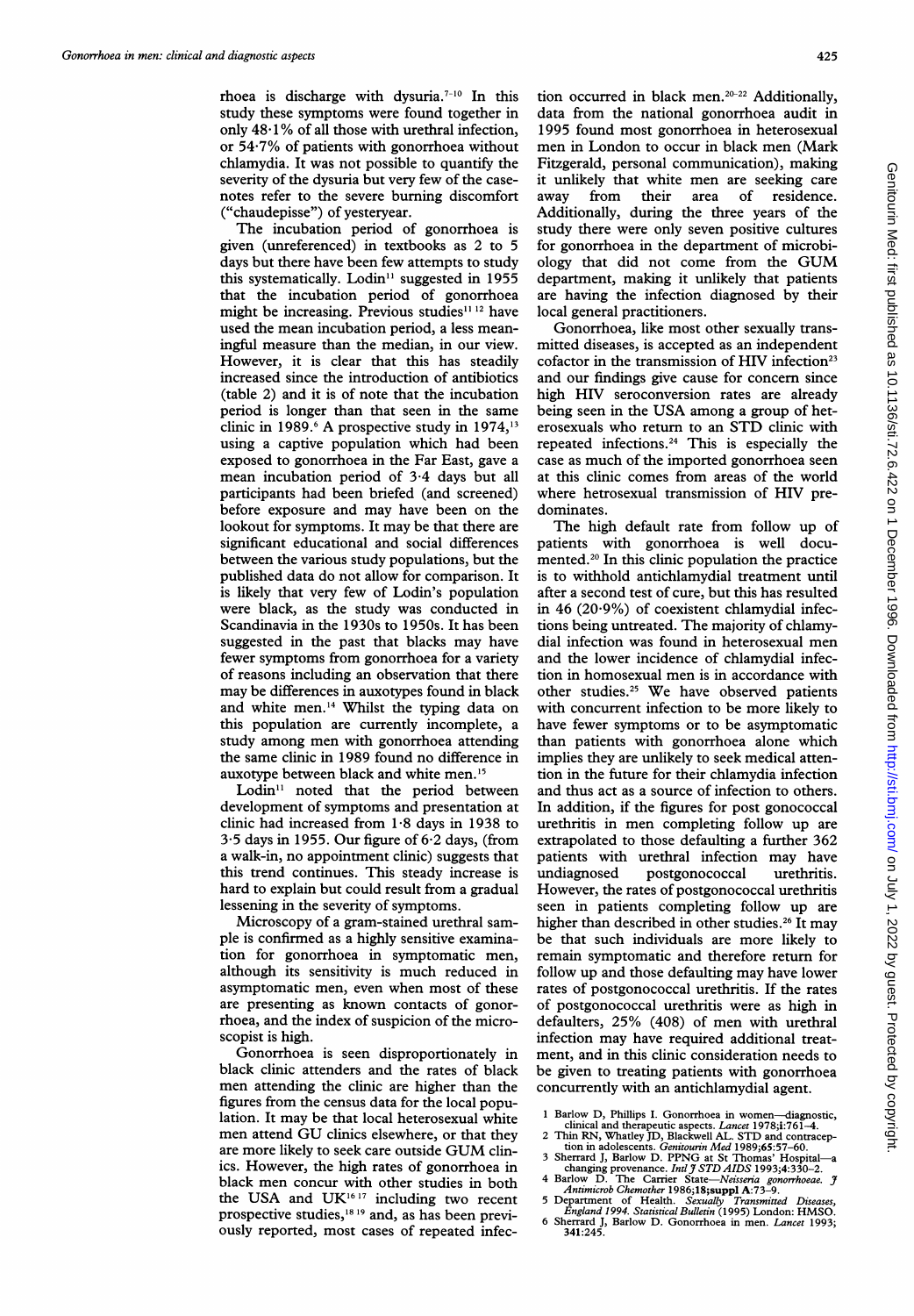rhoea is discharge with dysuria.7-10 In this study these symptoms were found together in only  $48.1\%$  of all those with urethral infection, or 54.7% of patients with gonorrhoea without chlamydia. It was not possible to quantify the severity of the dysuria but very few of the casenotes refer to the severe burning discomfort ("chaudepisse") of yesteryear.

The incubation period of gonorrhoea is given (unreferenced) in textbooks as 2 to 5 days but there have been few attempts to study this systematically. Lodin<sup>11</sup> suggested in 1955 that the incubation period of gonorrhoea might be increasing. Previous studies<sup>11-12</sup> have used the mean incubation period, <sup>a</sup> less meaningful measure than the median, in our view. However, it is clear that this has steadily increased since the introduction of antibiotics (table 2) and it is of note that the incubation period is longer than that seen in the same clinic in 1989.<sup>6</sup> A prospective study in 1974,<sup>13</sup> using a captive population which had been exposed to gonorrhoea in the Far East, gave a mean incubation period of 3.4 days but all participants had been briefed (and screened) before exposure and may have been on the lookout for symptoms. It may be that there are significant educational and social differences between the various study populations, but the published data do not allow for comparison. It is likely that very few of Lodin's population were black, as the study was conducted in Scandinavia in the 1930s to 1950s. It has been suggested in the past that blacks may have fewer symptoms from gonorrhoea for a variety of reasons including an observation that there may be differences in auxotypes found in black and white men.'4 Whilst the typing data on this population are currently incomplete, a study among men with gonorrhoea attending the same clinic in 1989 found no difference in auxotype between black and white men.'5

Lodin<sup>11</sup> noted that the period between development of symptoms and presentation at clinic had increased from  $1.8$  days in 1938 to 3.5 days in 1955. Our figure of 6-2 days, (from a walk-in, no appointment clinic) suggests that this trend continues. This steady increase is hard to explain but could result from a gradual lessening in the severity of symptoms.

Microscopy of a gram-stained urethral sample is confirmed as a highly sensitive examination for gonorrhoea in symptomatic men, although its sensitivity is much reduced in asymptomatic men, even when most of these are presenting as known contacts of gonorrhoea, and the index of suspicion of the microscopist is high.

Gonorrhoea is seen disproportionately in black clinic attenders and the rates of black men attending the clinic are higher than the figures from the census data for the local population. It may be that local heterosexual white men attend GU clinics elsewhere, or that they are more likely to seek care outside GUM clinics. However, the high rates of gonorrhoea in black men concur with other studies in both the USA and UK $^{16}$ <sup>17</sup> including two recent prospective studies,<sup>1819</sup> and, as has been previously reported, most cases of repeated infection occurred in black men.<sup>20-22</sup> Additionally, data from the national gonorrhoea audit in 1995 found most gonorrhoea in heterosexual men in London to occur in black men (Mark Fitzgerald, personal communication), making it unlikely that white men are seeking care away from their area of residence. Additionally, during the three years of the study there were only seven positive cultures for gonorrhoea in the department of microbiology that did not come from the GUM department, making it unlikely that patients are having the infection diagnosed by their local general practitioners.

Gonorrhoea, like most other sexually transmitted diseases, is accepted as an independent cofactor in the transmission of HIV infection<sup>23</sup> and our findings give cause for concern since high HIV seroconversion rates are already being seen in the USA among <sup>a</sup> group of heterosexuals who return to an STD clinic with repeated infections.24 This is especially the case as much of the imported gonorrhoea seen at this clinic comes from areas of the world where hetrosexual transmission of HIV predominates.

The high default rate from follow up of patients with gonorrhoea is well documented.20 In this clinic population the practice is to withhold antichlamydial treatment until after a second test of cure, but this has resulted in 46  $(20.9\%)$  of coexistent chlamydial infections being untreated. The majority of chlamydial infection was found in heterosexual men and the lower incidence of chlamydial infection in homosexual men is in accordance with other studies.25 We have observed patients with concurrent infection to be more likely to have fewer symptoms or to be asymptomatic than patients with gonorrhoea alone which implies they are unlikely to seek medical attention in the future for their chlamydia infection and thus act as a source of infection to others. In addition, if the figures for post gonococcal urethritis in men completing follow up are extrapolated to those defaulting a further 362 patients with urethral infection may have undiagnosed postgonococcal urethritis. However, the rates of postgonococcal urethritis seen in patients completing follow up are higher than described in other studies.<sup>26</sup> It may be that such individuals are more likely to remain symptomatic and therefore return for follow up and those defaulting may have lower rates of postgonococcal urethritis. If the rates of postgonococcal urethritis were as high in defaulters, 25% (408) of men with urethral infection may have required additional treatment, and in this clinic consideration needs to be given to treating patients with gonorrhoea concurrently with an antichlamydial agent.

- <sup>1</sup> Barlow D, Phillips I. Gonorrhoea in women-diagnostic,
- clinical and therapeutic aspects. *Lancet* 1978;**i**:761–4.<br>2 Thin RN, Whatley JD, Blackwell AL. STD and contracep-<br>tion in adolescents. *Genitourin Med* 1989;**6**5:57–60.
- 3 Sherrard J, Barlow D. PPNG at St Thomas' Hospital—a<br>
changing provenance. Ind J STD AIDS 1993;4:330-2.
- 4 Barlow D. The Carrier State—Neisseria gonorrhoeae. J<br>Antimicrob Chemother 1986;18;suppl A:73-9.
- 
- 5 Department of Health. *Sexually Transmitted Diseases,<br>England 1994. Statistical Bulletin* (1995) London: HMSO.<br>6 Sherrard J, Barlow D. Gonorrhoea in men. *Lancet* 1993;<br>341:245.